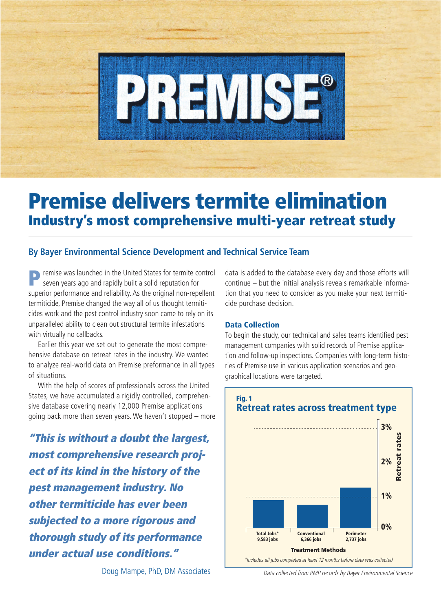

# **Premise delivers termite elimination Industry's most comprehensive multi-year retreat study**

## **By Bayer Environmental Science Development and Technical Service Team**

**P** remise was launched in the United States for termite control seven years ago and rapidly built a solid reputation for superior performance and reliability. As the original non-repellent termiticide, Premise changed the way all of us thought termiticides work and the pest control industry soon came to rely on its unparalleled ability to clean out structural termite infestations with virtually no callbacks.

Earlier this year we set out to generate the most comprehensive database on retreat rates in the industry. We wanted to analyze real-world data on Premise preformance in all types of situations.

With the help of scores of professionals across the United States, we have accumulated a rigidly controlled, comprehensive database covering nearly 12,000 Premise applications going back more than seven years. We haven't stopped – more

**"This is without a doubt the largest, most comprehensive research project of its kind in the history of the pest management industry. No other termiticide has ever been subjected to a more rigorous and thorough study of its performance under actual use conditions."**

Doug Mampe, PhD, DM Associates Data collected from PMP records by Bayer Environmental Science

data is added to the database every day and those efforts will continue – but the initial analysis reveals remarkable information that you need to consider as you make your next termiticide purchase decision.

### **Data Collection**

To begin the study, our technical and sales teams identified pest management companies with solid records of Premise application and follow-up inspections. Companies with long-term histories of Premise use in various application scenarios and geographical locations were targeted.

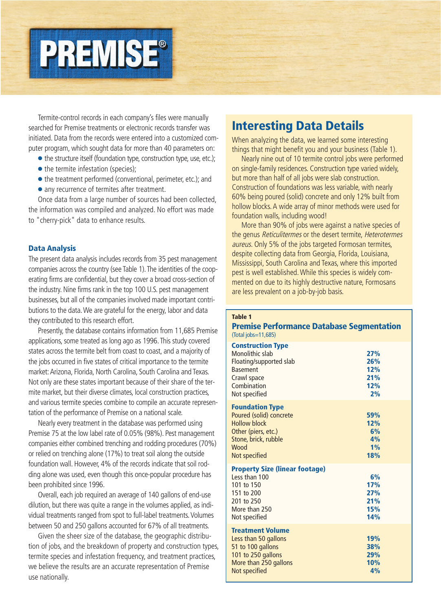

Termite-control records in each company's files were manually searched for Premise treatments or electronic records transfer was initiated. Data from the records were entered into a customized computer program, which sought data for more than 40 parameters on:

- the structure itself (foundation type, construction type, use, etc.);
- the termite infestation (species);
- the treatment performed (conventional, perimeter, etc.); and
- any recurrence of termites after treatment.

Once data from a large number of sources had been collected, the information was compiled and analyzed. No effort was made to "cherry-pick" data to enhance results.

#### **Data Analysis**

The present data analysis includes records from 35 pest management companies across the country (see Table 1).The identities of the cooperating firms are confidential, but they cover a broad cross-section of the industry. Nine firms rank in the top 100 U.S. pest management businesses, but all of the companies involved made important contributions to the data.We are grateful for the energy, labor and data they contributed to this research effort.

Presently, the database contains information from 11,685 Premise applications, some treated as long ago as 1996.This study covered states across the termite belt from coast to coast, and a majority of the jobs occurred in five states of critical importance to the termite market:Arizona, Florida, North Carolina, South Carolina and Texas. Not only are these states important because of their share of the termite market, but their diverse climates, local construction practices, and various termite species combine to compile an accurate representation of the performance of Premise on a national scale.

Nearly every treatment in the database was performed using Premise 75 at the low label rate of 0.05% (98%). Pest management companies either combined trenching and rodding procedures (70%) or relied on trenching alone (17%) to treat soil along the outside foundation wall. However, 4% of the records indicate that soil rodding alone was used, even though this once-popular procedure has been prohibited since 1996.

Overall, each job required an average of 140 gallons of end-use dilution, but there was quite a range in the volumes applied, as individual treatments ranged from spot to full-label treatments. Volumes between 50 and 250 gallons accounted for 67% of all treatments.

Given the sheer size of the database, the geographic distribution of jobs, and the breakdown of property and construction types, termite species and infestation frequency, and treatment practices, we believe the results are an accurate representation of Premise use nationally.

# **Interesting Data Details**

When analyzing the data, we learned some interesting things that might benefit you and your business (Table 1).

Nearly nine out of 10 termite control jobs were performed on single-family residences. Construction type varied widely, but more than half of all jobs were slab construction. Construction of foundations was less variable, with nearly 60% being poured (solid) concrete and only 12% built from hollow blocks. A wide array of minor methods were used for foundation walls, including wood!

More than 90% of jobs were against a native species of the genus Reticulitermes or the desert termite, Heterotermes aureus. Only 5% of the jobs targeted Formosan termites, despite collecting data from Georgia, Florida, Louisiana, Mississippi, South Carolina and Texas, where this imported pest is well established. While this species is widely commented on due to its highly destructive nature, Formosans are less prevalent on a job-by-job basis.

#### **Table 1**

#### **Premise Performance Database Segmentation** (Total jobs=11,685)

#### **Construction Type**

| <b>Construction Type</b><br>Monolithic slab<br>Floating/supported slab<br><b>Basement</b><br>Crawl space<br>Combination<br>Not specified         | 27%<br>26%<br>12%<br>21%<br>12%<br>2%        |
|--------------------------------------------------------------------------------------------------------------------------------------------------|----------------------------------------------|
| <b>Foundation Type</b><br>Poured (solid) concrete<br><b>Hollow block</b><br>Other (piers, etc.)<br>Stone, brick, rubble<br>Wood<br>Not specified | 59%<br>12%<br>6%<br>4%<br>1%<br>18%          |
| <b>Property Size (linear footage)</b><br>Less than 100<br>101 to 150<br>151 to 200<br>201 to 250<br>More than 250<br>Not specified               | 6%<br>17%<br>27%<br>21%<br>15%<br><b>14%</b> |
| <b>Treatment Volume</b><br>Less than 50 gallons<br>51 to 100 gallons<br>101 to 250 gallons<br>More than 250 gallons<br>Not specified             | 19%<br>38%<br>29%<br>10%<br>4%               |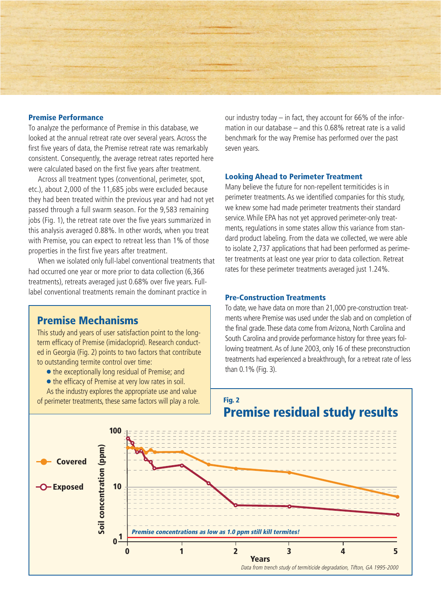#### **Premise Performance**

To analyze the performance of Premise in this database, we looked at the annual retreat rate over several years. Across the first five years of data, the Premise retreat rate was remarkably consistent. Consequently, the average retreat rates reported here were calculated based on the first five years after treatment.

Across all treatment types (conventional, perimeter, spot, etc.), about 2,000 of the 11,685 jobs were excluded because they had been treated within the previous year and had not yet passed through a full swarm season. For the 9,583 remaining jobs (Fig. 1), the retreat rate over the five years summarized in this analysis averaged 0.88%. In other words, when you treat with Premise, you can expect to retreat less than 1% of those properties in the first five years after treatment.

When we isolated only full-label conventional treatments that had occurred one year or more prior to data collection (6,366 treatments), retreats averaged just 0.68% over five years. Fulllabel conventional treatments remain the dominant practice in

# **Premise Mechanisms**

This study and years of user satisfaction point to the longterm efficacy of Premise (imidacloprid). Research conducted in Georgia (Fig. 2) points to two factors that contribute to outstanding termite control over time:

● the exceptionally long residual of Premise; and

● the efficacy of Premise at very low rates in soil.

As the industry explores the appropriate use and value of perimeter treatments, these same factors will play a role. our industry today – in fact, they account for 66% of the information in our database – and this 0.68% retreat rate is a valid benchmark for the way Premise has performed over the past seven years.

#### **Looking Ahead to Perimeter Treatment**

Many believe the future for non-repellent termiticides is in perimeter treatments. As we identified companies for this study, we knew some had made perimeter treatments their standard service. While EPA has not yet approved perimeter-only treatments, regulations in some states allow this variance from standard product labeling. From the data we collected, we were able to isolate 2,737 applications that had been performed as perimeter treatments at least one year prior to data collection. Retreat rates for these perimeter treatments averaged just 1.24%.

#### **Pre-Construction Treatments**

To date, we have data on more than 21,000 pre-construction treatments where Premise was used under the slab and on completion of the final grade. These data come from Arizona, North Carolina and South Carolina and provide performance history for three years following treatment.As of June 2003, only 16 of these preconstruction treatments had experienced a breakthrough, for a retreat rate of less than 0.1% (Fig. 3).



**Fig. 2**